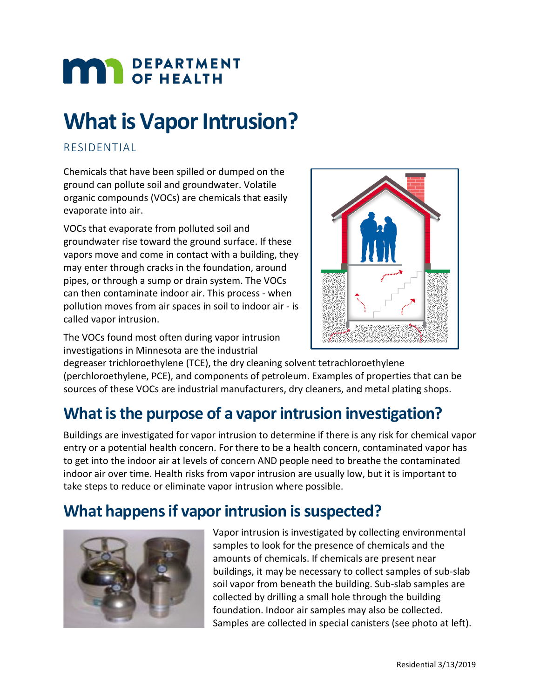# **MAR** DEPARTMENT

# **What is Vapor Intrusion?**

#### RESIDENTIAL

Chemicals that have been spilled or dumped on the ground can pollute soil and groundwater. Volatile organic compounds (VOCs) are chemicals that easily evaporate into air.

VOCs that evaporate from polluted soil and groundwater rise toward the ground surface. If these vapors move and come in contact with a building, they may enter through cracks in the foundation, around pipes, or through a sump or drain system. The VOCs can then contaminate indoor air. This process - when pollution moves from air spaces in soil to indoor air - is called vapor intrusion.

The VOCs found most often during vapor intrusion investigations in Minnesota are the industrial



degreaser trichloroethylene (TCE), the dry cleaning solvent tetrachloroethylene (perchloroethylene, PCE), and components of petroleum. Examples of properties that can be sources of these VOCs are industrial manufacturers, dry cleaners, and metal plating shops.

# **What is the purpose of a vapor intrusion investigation?**

Buildings are investigated for vapor intrusion to determine if there is any risk for chemical vapor entry or a potential health concern. For there to be a health concern, contaminated vapor has to get into the indoor air at levels of concern AND people need to breathe the contaminated indoor air over time. Health risks from vapor intrusion are usually low, but it is important to take steps to reduce or eliminate vapor intrusion where possible.

## **What happens if vapor intrusion is suspected?**



Vapor intrusion is investigated by collecting environmental samples to look for the presence of chemicals and the amounts of chemicals. If chemicals are present near buildings, it may be necessary to collect samples of sub-slab soil vapor from beneath the building. Sub-slab samples are collected by drilling a small hole through the building foundation. Indoor air samples may also be collected. Samples are collected in special canisters (see photo at left).